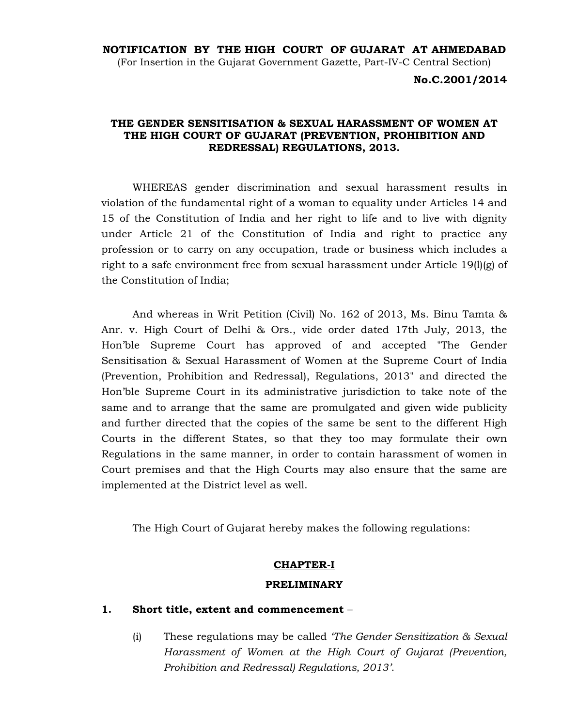#### NOTIFICATION BY THE HIGH COURT OF GUJARAT AT AHMEDABAD

(For Insertion in the Gujarat Government Gazette, Part-IV-C Central Section)

No.C.2001/2014

### THE GENDER SENSITISATION & SEXUAL HARASSMENT OF WOMEN AT THE HIGH COURT OF GUJARAT (PREVENTION, PROHIBITION AND REDRESSAL) REGULATIONS, 2013.

 WHEREAS gender discrimination and sexual harassment results in violation of the fundamental right of a woman to equality under Articles 14 and 15 of the Constitution of India and her right to life and to live with dignity under Article 21 of the Constitution of India and right to practice any profession or to carry on any occupation, trade or business which includes a right to a safe environment free from sexual harassment under Article 19(1)(g) of the Constitution of India;

 And whereas in Writ Petition (Civil) No. 162 of 2013, Ms. Binu Tamta & Anr. v. High Court of Delhi & Ors., vide order dated 17th July, 2013, the Hon'ble Supreme Court has approved of and accepted "The Gender Sensitisation & Sexual Harassment of Women at the Supreme Court of India (Prevention, Prohibition and Redressal), Regulations, 2013" and directed the Hon'ble Supreme Court in its administrative jurisdiction to take note of the same and to arrange that the same are promulgated and given wide publicity and further directed that the copies of the same be sent to the different High Courts in the different States, so that they too may formulate their own Regulations in the same manner, in order to contain harassment of women in Court premises and that the High Courts may also ensure that the same are implemented at the District level as well.

The High Court of Gujarat hereby makes the following regulations:

#### CHAPTER-I

#### PRELIMINARY

### 1. Short title, extent and commencement –

(i) These regulations may be called *The Gender Sensitization*  $\&$  *Sexual* Harassment of Women at the High Court of Gujarat (Prevention, Prohibition and Redressal) Regulations, 2013'.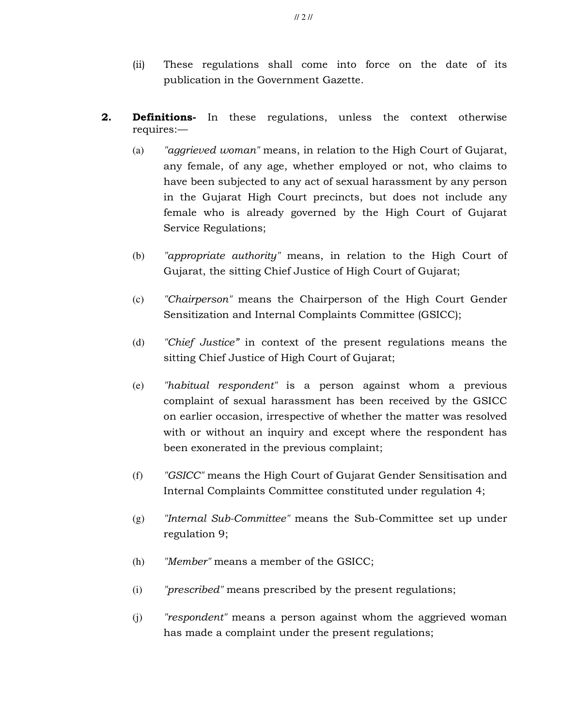- (ii) These regulations shall come into force on the date of its publication in the Government Gazette.
- **2. Definitions-** In these regulations, unless the context otherwise requires:—
	- (a) "aggrieved woman" means, in relation to the High Court of Gujarat, any female, of any age, whether employed or not, who claims to have been subjected to any act of sexual harassment by any person in the Gujarat High Court precincts, but does not include any female who is already governed by the High Court of Gujarat Service Regulations;
	- (b) "appropriate authority" means, in relation to the High Court of Gujarat, the sitting Chief Justice of High Court of Gujarat;
	- (c) "Chairperson" means the Chairperson of the High Court Gender Sensitization and Internal Complaints Committee (GSICC);
	- (d) "Chief Justice" in context of the present regulations means the sitting Chief Justice of High Court of Gujarat;
	- (e) "habitual respondent" is a person against whom a previous complaint of sexual harassment has been received by the GSICC on earlier occasion, irrespective of whether the matter was resolved with or without an inquiry and except where the respondent has been exonerated in the previous complaint;
	- (f) "GSICC" means the High Court of Gujarat Gender Sensitisation and Internal Complaints Committee constituted under regulation 4;
	- (g) "Internal Sub-Committee" means the Sub-Committee set up under regulation 9;
	- (h) "Member" means a member of the GSICC;
	- (i) "prescribed" means prescribed by the present regulations;
	- (j) "respondent" means a person against whom the aggrieved woman has made a complaint under the present regulations;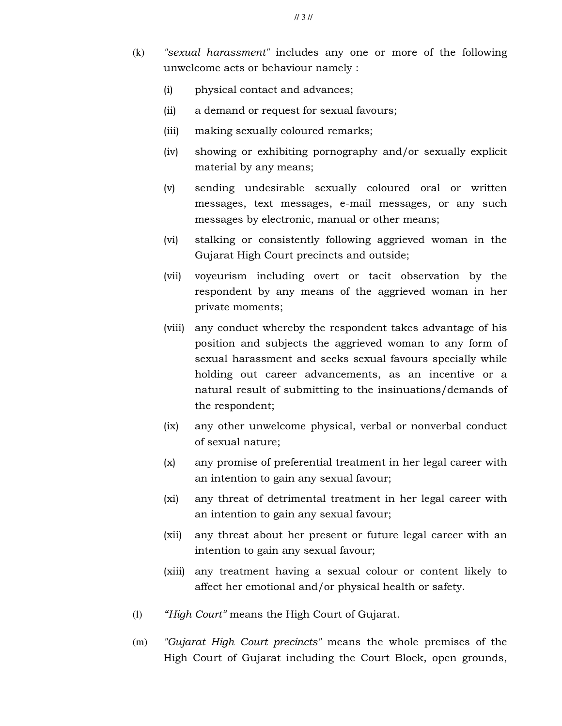- (k) "sexual harassment" includes any one or more of the following unwelcome acts or behaviour namely :
	- (i) physical contact and advances;
	- (ii) a demand or request for sexual favours;
	- (iii) making sexually coloured remarks;
	- (iv) showing or exhibiting pornography and/or sexually explicit material by any means;
	- (v) sending undesirable sexually coloured oral or written messages, text messages, e-mail messages, or any such messages by electronic, manual or other means;
	- (vi) stalking or consistently following aggrieved woman in the Gujarat High Court precincts and outside;
	- (vii) voyeurism including overt or tacit observation by the respondent by any means of the aggrieved woman in her private moments;
	- (viii) any conduct whereby the respondent takes advantage of his position and subjects the aggrieved woman to any form of sexual harassment and seeks sexual favours specially while holding out career advancements, as an incentive or a natural result of submitting to the insinuations/demands of the respondent;
	- (ix) any other unwelcome physical, verbal or nonverbal conduct of sexual nature;
	- (x) any promise of preferential treatment in her legal career with an intention to gain any sexual favour;
	- (xi) any threat of detrimental treatment in her legal career with an intention to gain any sexual favour;
	- (xii) any threat about her present or future legal career with an intention to gain any sexual favour;
	- (xiii) any treatment having a sexual colour or content likely to affect her emotional and/or physical health or safety.
- (l) "High Court" means the High Court of Gujarat.
- (m) "Gujarat High Court precincts" means the whole premises of the High Court of Gujarat including the Court Block, open grounds,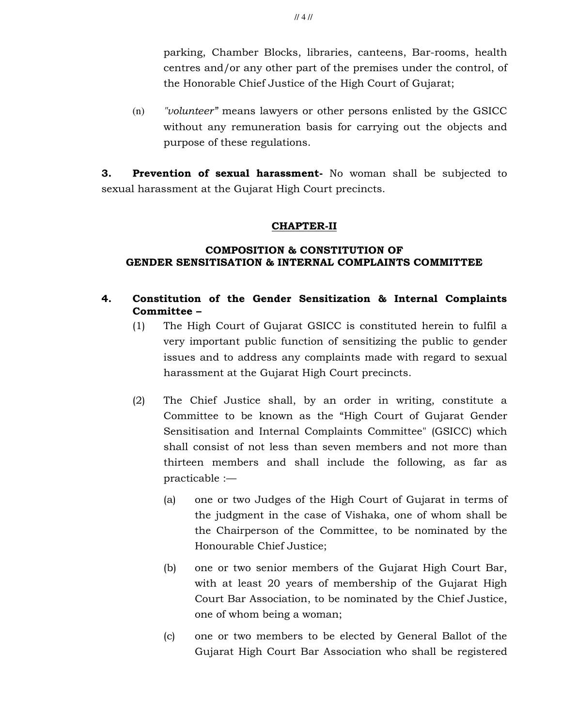parking, Chamber Blocks, libraries, canteens, Bar-rooms, health centres and/or any other part of the premises under the control, of the Honorable Chief Justice of the High Court of Gujarat;

(n) "volunteer" means lawyers or other persons enlisted by the GSICC without any remuneration basis for carrying out the objects and purpose of these regulations.

**3.** Prevention of sexual harassment- No woman shall be subjected to sexual harassment at the Gujarat High Court precincts.

## CHAPTER-II

## COMPOSITION & CONSTITUTION OF GENDER SENSITISATION & INTERNAL COMPLAINTS COMMITTEE

## 4. Constitution of the Gender Sensitization & Internal Complaints Committee –

- (1) The High Court of Gujarat GSICC is constituted herein to fulfil a very important public function of sensitizing the public to gender issues and to address any complaints made with regard to sexual harassment at the Gujarat High Court precincts.
- (2) The Chief Justice shall, by an order in writing, constitute a Committee to be known as the "High Court of Gujarat Gender Sensitisation and Internal Complaints Committee" (GSICC) which shall consist of not less than seven members and not more than thirteen members and shall include the following, as far as practicable :—
	- (a) one or two Judges of the High Court of Gujarat in terms of the judgment in the case of Vishaka, one of whom shall be the Chairperson of the Committee, to be nominated by the Honourable Chief Justice;
	- (b) one or two senior members of the Gujarat High Court Bar, with at least 20 years of membership of the Gujarat High Court Bar Association, to be nominated by the Chief Justice, one of whom being a woman;
	- (c) one or two members to be elected by General Ballot of the Gujarat High Court Bar Association who shall be registered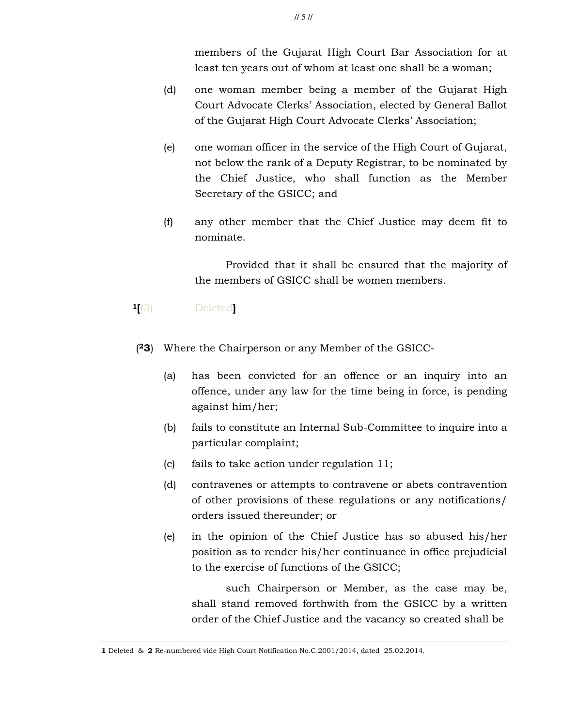members of the Gujarat High Court Bar Association for at least ten years out of whom at least one shall be a woman;

- (d) one woman member being a member of the Gujarat High Court Advocate Clerks' Association, elected by General Ballot of the Gujarat High Court Advocate Clerks' Association;
- (e) one woman officer in the service of the High Court of Gujarat, not below the rank of a Deputy Registrar, to be nominated by the Chief Justice, who shall function as the Member Secretary of the GSICC; and
- (f) any other member that the Chief Justice may deem fit to nominate.

 Provided that it shall be ensured that the majority of the members of GSICC shall be women members.

- <sup>1</sup>[(3) Deleted]
- (23) Where the Chairperson or any Member of the GSICC-
	- (a) has been convicted for an offence or an inquiry into an offence, under any law for the time being in force, is pending against him/her;
	- (b) fails to constitute an Internal Sub-Committee to inquire into a particular complaint;
	- (c) fails to take action under regulation 11;
	- (d) contravenes or attempts to contravene or abets contravention of other provisions of these regulations or any notifications/ orders issued thereunder; or
	- (e) in the opinion of the Chief Justice has so abused his/her position as to render his/her continuance in office prejudicial to the exercise of functions of the GSICC;

 such Chairperson or Member, as the case may be, shall stand removed forthwith from the GSICC by a written order of the Chief Justice and the vacancy so created shall be

<sup>1</sup> Deleted & 2 Re-numbered vide High Court Notification No.C.2001/2014, dated 25.02.2014.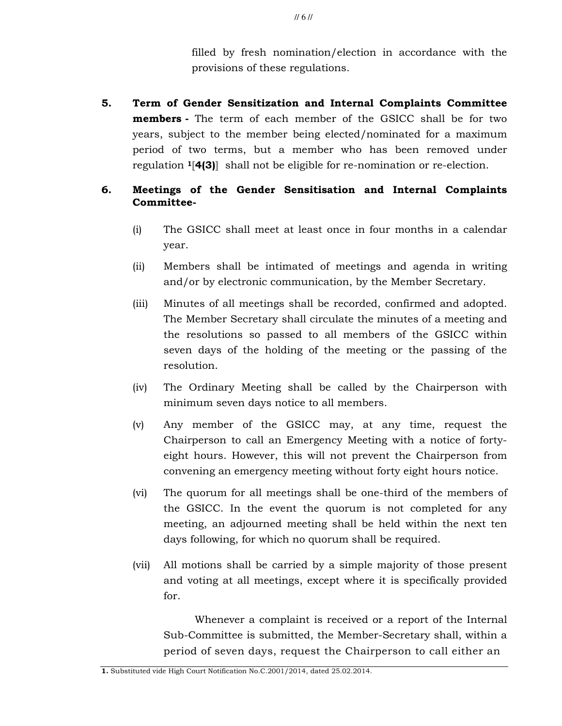filled by fresh nomination/election in accordance with the provisions of these regulations.

5. Term of Gender Sensitization and Internal Complaints Committee members - The term of each member of the GSICC shall be for two years, subject to the member being elected/nominated for a maximum period of two terms, but a member who has been removed under regulation 1[4(3)] shall not be eligible for re-nomination or re-election.

# 6. Meetings of the Gender Sensitisation and Internal Complaints Committee-

- (i) The GSICC shall meet at least once in four months in a calendar year.
- (ii) Members shall be intimated of meetings and agenda in writing and/or by electronic communication, by the Member Secretary.
- (iii) Minutes of all meetings shall be recorded, confirmed and adopted. The Member Secretary shall circulate the minutes of a meeting and the resolutions so passed to all members of the GSICC within seven days of the holding of the meeting or the passing of the resolution.
- (iv) The Ordinary Meeting shall be called by the Chairperson with minimum seven days notice to all members.
- (v) Any member of the GSICC may, at any time, request the Chairperson to call an Emergency Meeting with a notice of fortyeight hours. However, this will not prevent the Chairperson from convening an emergency meeting without forty eight hours notice.
- (vi) The quorum for all meetings shall be one-third of the members of the GSICC. In the event the quorum is not completed for any meeting, an adjourned meeting shall be held within the next ten days following, for which no quorum shall be required.
- (vii) All motions shall be carried by a simple majority of those present and voting at all meetings, except where it is specifically provided for.

 Whenever a complaint is received or a report of the Internal Sub-Committee is submitted, the Member-Secretary shall, within a period of seven days, request the Chairperson to call either an

1. Substituted vide High Court Notification No.C.2001/2014, dated 25.02.2014.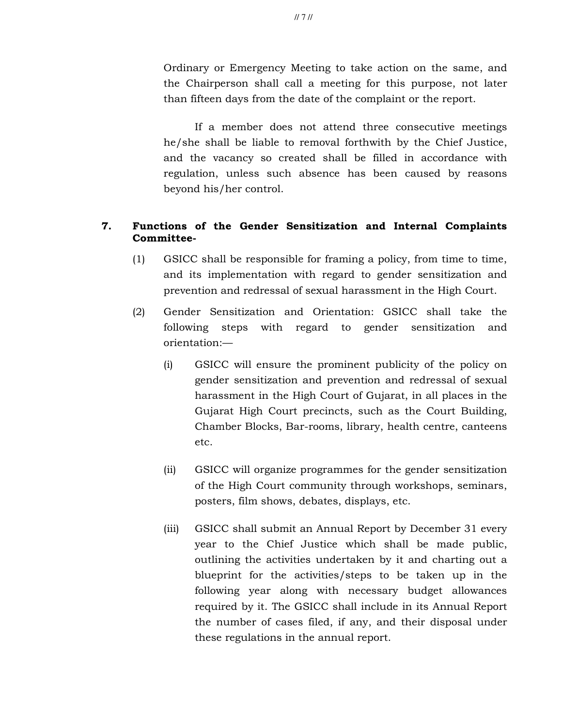Ordinary or Emergency Meeting to take action on the same, and the Chairperson shall call a meeting for this purpose, not later than fifteen days from the date of the complaint or the report.

 If a member does not attend three consecutive meetings he/she shall be liable to removal forthwith by the Chief Justice, and the vacancy so created shall be filled in accordance with regulation, unless such absence has been caused by reasons beyond his/her control.

## 7. Functions of the Gender Sensitization and Internal Complaints Committee-

- (1) GSICC shall be responsible for framing a policy, from time to time, and its implementation with regard to gender sensitization and prevention and redressal of sexual harassment in the High Court.
- (2) Gender Sensitization and Orientation: GSICC shall take the following steps with regard to gender sensitization and orientation:—
	- (i) GSICC will ensure the prominent publicity of the policy on gender sensitization and prevention and redressal of sexual harassment in the High Court of Gujarat, in all places in the Gujarat High Court precincts, such as the Court Building, Chamber Blocks, Bar-rooms, library, health centre, canteens etc.
	- (ii) GSICC will organize programmes for the gender sensitization of the High Court community through workshops, seminars, posters, film shows, debates, displays, etc.
	- (iii) GSICC shall submit an Annual Report by December 31 every year to the Chief Justice which shall be made public, outlining the activities undertaken by it and charting out a blueprint for the activities/steps to be taken up in the following year along with necessary budget allowances required by it. The GSICC shall include in its Annual Report the number of cases filed, if any, and their disposal under these regulations in the annual report.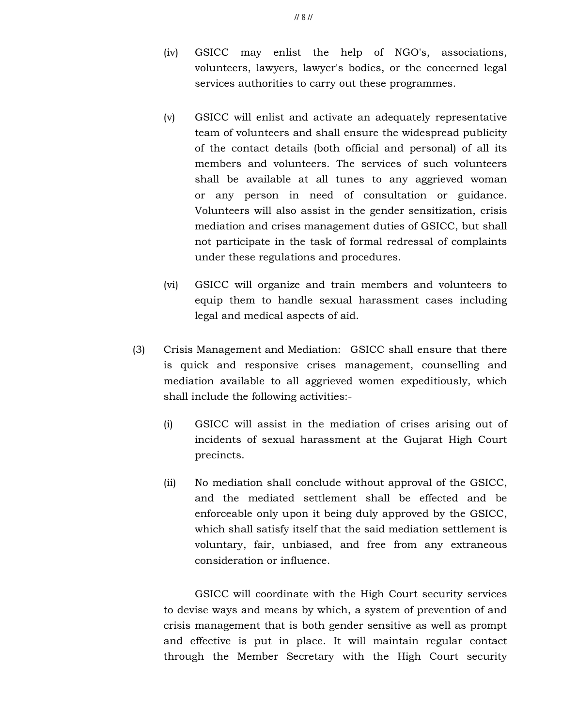- (v) GSICC will enlist and activate an adequately representative team of volunteers and shall ensure the widespread publicity of the contact details (both official and personal) of all its members and volunteers. The services of such volunteers shall be available at all tunes to any aggrieved woman or any person in need of consultation or guidance. Volunteers will also assist in the gender sensitization, crisis mediation and crises management duties of GSICC, but shall not participate in the task of formal redressal of complaints under these regulations and procedures.
- (vi) GSICC will organize and train members and volunteers to equip them to handle sexual harassment cases including legal and medical aspects of aid.
- (3) Crisis Management and Mediation: GSICC shall ensure that there is quick and responsive crises management, counselling and mediation available to all aggrieved women expeditiously, which shall include the following activities:-
	- (i) GSICC will assist in the mediation of crises arising out of incidents of sexual harassment at the Gujarat High Court precincts.
	- (ii) No mediation shall conclude without approval of the GSICC, and the mediated settlement shall be effected and be enforceable only upon it being duly approved by the GSICC, which shall satisfy itself that the said mediation settlement is voluntary, fair, unbiased, and free from any extraneous consideration or influence.

 GSICC will coordinate with the High Court security services to devise ways and means by which, a system of prevention of and crisis management that is both gender sensitive as well as prompt and effective is put in place. It will maintain regular contact through the Member Secretary with the High Court security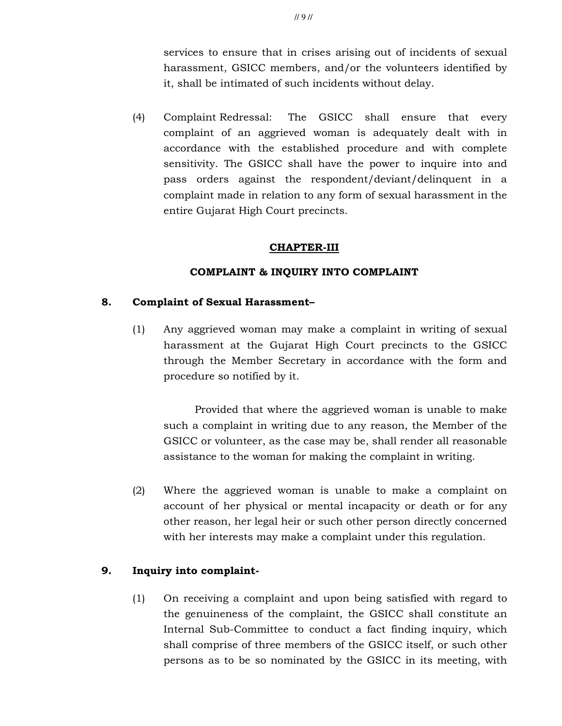services to ensure that in crises arising out of incidents of sexual harassment, GSICC members, and/or the volunteers identified by it, shall be intimated of such incidents without delay.

(4) Complaint Redressal: The GSICC shall ensure that every complaint of an aggrieved woman is adequately dealt with in accordance with the established procedure and with complete sensitivity. The GSICC shall have the power to inquire into and pass orders against the respondent/deviant/delinquent in a complaint made in relation to any form of sexual harassment in the entire Gujarat High Court precincts.

### CHAPTER-III

### COMPLAINT & INQUIRY INTO COMPLAINT

### 8. Complaint of Sexual Harassment–

(1) Any aggrieved woman may make a complaint in writing of sexual harassment at the Gujarat High Court precincts to the GSICC through the Member Secretary in accordance with the form and procedure so notified by it.

 Provided that where the aggrieved woman is unable to make such a complaint in writing due to any reason, the Member of the GSICC or volunteer, as the case may be, shall render all reasonable assistance to the woman for making the complaint in writing.

(2) Where the aggrieved woman is unable to make a complaint on account of her physical or mental incapacity or death or for any other reason, her legal heir or such other person directly concerned with her interests may make a complaint under this regulation.

## 9. Inquiry into complaint-

(1) On receiving a complaint and upon being satisfied with regard to the genuineness of the complaint, the GSICC shall constitute an Internal Sub-Committee to conduct a fact finding inquiry, which shall comprise of three members of the GSICC itself, or such other persons as to be so nominated by the GSICC in its meeting, with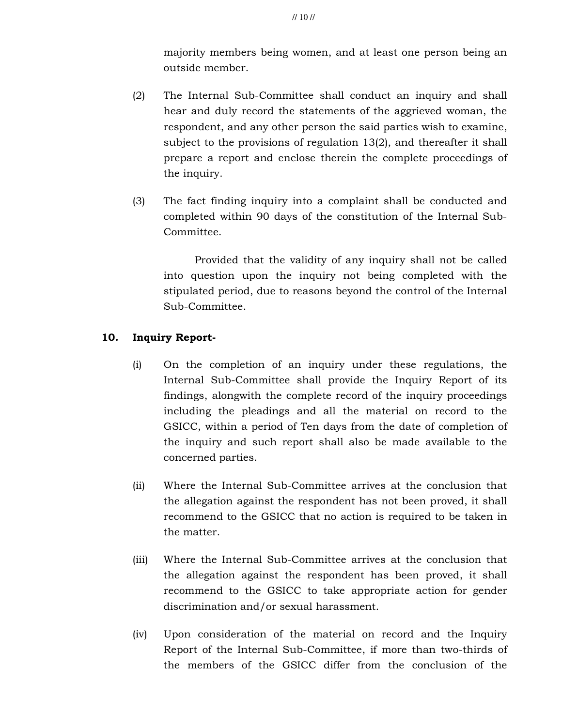majority members being women, and at least one person being an outside member.

- (2) The Internal Sub-Committee shall conduct an inquiry and shall hear and duly record the statements of the aggrieved woman, the respondent, and any other person the said parties wish to examine, subject to the provisions of regulation 13(2), and thereafter it shall prepare a report and enclose therein the complete proceedings of the inquiry.
- (3) The fact finding inquiry into a complaint shall be conducted and completed within 90 days of the constitution of the Internal Sub-Committee.

Provided that the validity of any inquiry shall not be called into question upon the inquiry not being completed with the stipulated period, due to reasons beyond the control of the Internal Sub-Committee.

# 10. Inquiry Report-

- (i) On the completion of an inquiry under these regulations, the Internal Sub-Committee shall provide the Inquiry Report of its findings, alongwith the complete record of the inquiry proceedings including the pleadings and all the material on record to the GSICC, within a period of Ten days from the date of completion of the inquiry and such report shall also be made available to the concerned parties.
- (ii) Where the Internal Sub-Committee arrives at the conclusion that the allegation against the respondent has not been proved, it shall recommend to the GSICC that no action is required to be taken in the matter.
- (iii) Where the Internal Sub-Committee arrives at the conclusion that the allegation against the respondent has been proved, it shall recommend to the GSICC to take appropriate action for gender discrimination and/or sexual harassment.
- (iv) Upon consideration of the material on record and the Inquiry Report of the Internal Sub-Committee, if more than two-thirds of the members of the GSICC differ from the conclusion of the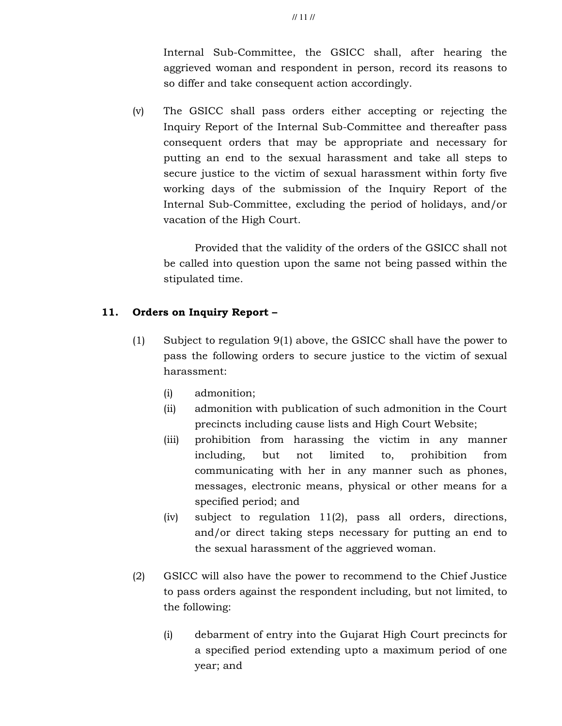Internal Sub-Committee, the GSICC shall, after hearing the aggrieved woman and respondent in person, record its reasons to so differ and take consequent action accordingly.

(v) The GSICC shall pass orders either accepting or rejecting the Inquiry Report of the Internal Sub-Committee and thereafter pass consequent orders that may be appropriate and necessary for putting an end to the sexual harassment and take all steps to secure justice to the victim of sexual harassment within forty five working days of the submission of the Inquiry Report of the Internal Sub-Committee, excluding the period of holidays, and/or vacation of the High Court.

 Provided that the validity of the orders of the GSICC shall not be called into question upon the same not being passed within the stipulated time.

## 11. Orders on Inquiry Report –

- (1) Subject to regulation 9(1) above, the GSICC shall have the power to pass the following orders to secure justice to the victim of sexual harassment:
	- (i) admonition;
	- (ii) admonition with publication of such admonition in the Court precincts including cause lists and High Court Website;
	- (iii) prohibition from harassing the victim in any manner including, but not limited to, prohibition from communicating with her in any manner such as phones, messages, electronic means, physical or other means for a specified period; and
	- (iv) subject to regulation 11(2), pass all orders, directions, and/or direct taking steps necessary for putting an end to the sexual harassment of the aggrieved woman.
- (2) GSICC will also have the power to recommend to the Chief Justice to pass orders against the respondent including, but not limited, to the following:
	- (i) debarment of entry into the Gujarat High Court precincts for a specified period extending upto a maximum period of one year; and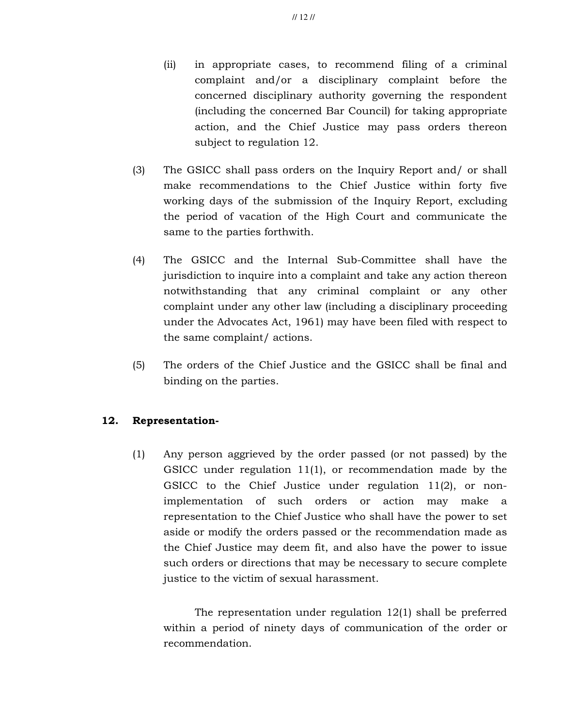- (ii) in appropriate cases, to recommend filing of a criminal complaint and/or a disciplinary complaint before the concerned disciplinary authority governing the respondent (including the concerned Bar Council) for taking appropriate action, and the Chief Justice may pass orders thereon subject to regulation 12.
- (3) The GSICC shall pass orders on the Inquiry Report and/ or shall make recommendations to the Chief Justice within forty five working days of the submission of the Inquiry Report, excluding the period of vacation of the High Court and communicate the same to the parties forthwith.
- (4) The GSICC and the Internal Sub-Committee shall have the jurisdiction to inquire into a complaint and take any action thereon notwithstanding that any criminal complaint or any other complaint under any other law (including a disciplinary proceeding under the Advocates Act, 1961) may have been filed with respect to the same complaint/ actions.
- (5) The orders of the Chief Justice and the GSICC shall be final and binding on the parties.

## 12. Representation-

(1) Any person aggrieved by the order passed (or not passed) by the GSICC under regulation 11(1), or recommendation made by the GSICC to the Chief Justice under regulation 11(2), or nonimplementation of such orders or action may make a representation to the Chief Justice who shall have the power to set aside or modify the orders passed or the recommendation made as the Chief Justice may deem fit, and also have the power to issue such orders or directions that may be necessary to secure complete justice to the victim of sexual harassment.

 The representation under regulation 12(1) shall be preferred within a period of ninety days of communication of the order or recommendation.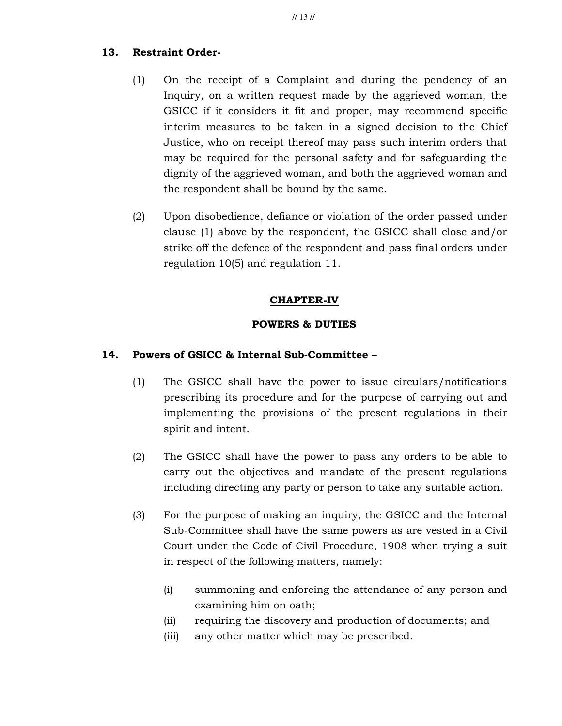## 13. Restraint Order-

- (1) On the receipt of a Complaint and during the pendency of an Inquiry, on a written request made by the aggrieved woman, the GSICC if it considers it fit and proper, may recommend specific interim measures to be taken in a signed decision to the Chief Justice, who on receipt thereof may pass such interim orders that may be required for the personal safety and for safeguarding the dignity of the aggrieved woman, and both the aggrieved woman and the respondent shall be bound by the same.
- (2) Upon disobedience, defiance or violation of the order passed under clause (1) above by the respondent, the GSICC shall close and/or strike off the defence of the respondent and pass final orders under regulation 10(5) and regulation 11.

## CHAPTER-IV

## POWERS & DUTIES

## 14. Powers of GSICC & Internal Sub-Committee –

- (1) The GSICC shall have the power to issue circulars/notifications prescribing its procedure and for the purpose of carrying out and implementing the provisions of the present regulations in their spirit and intent.
- (2) The GSICC shall have the power to pass any orders to be able to carry out the objectives and mandate of the present regulations including directing any party or person to take any suitable action.
- (3) For the purpose of making an inquiry, the GSICC and the Internal Sub-Committee shall have the same powers as are vested in a Civil Court under the Code of Civil Procedure, 1908 when trying a suit in respect of the following matters, namely:
	- (i) summoning and enforcing the attendance of any person and examining him on oath;
	- (ii) requiring the discovery and production of documents; and
	- (iii) any other matter which may be prescribed.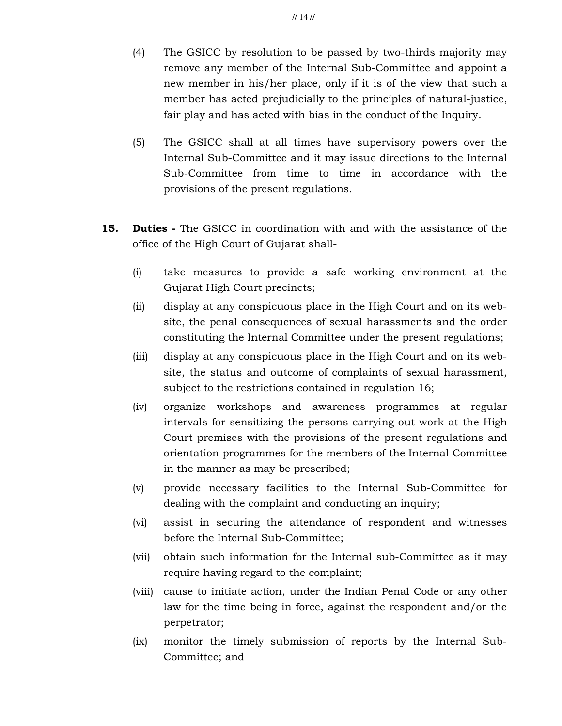- (4) The GSICC by resolution to be passed by two-thirds majority may remove any member of the Internal Sub-Committee and appoint a new member in his/her place, only if it is of the view that such a member has acted prejudicially to the principles of natural-justice, fair play and has acted with bias in the conduct of the Inquiry.
- (5) The GSICC shall at all times have supervisory powers over the Internal Sub-Committee and it may issue directions to the Internal Sub-Committee from time to time in accordance with the provisions of the present regulations.
- **15. Duties** The GSICC in coordination with and with the assistance of the office of the High Court of Gujarat shall-
	- (i) take measures to provide a safe working environment at the Gujarat High Court precincts;
	- (ii) display at any conspicuous place in the High Court and on its website, the penal consequences of sexual harassments and the order constituting the Internal Committee under the present regulations;
	- (iii) display at any conspicuous place in the High Court and on its website, the status and outcome of complaints of sexual harassment, subject to the restrictions contained in regulation 16;
	- (iv) organize workshops and awareness programmes at regular intervals for sensitizing the persons carrying out work at the High Court premises with the provisions of the present regulations and orientation programmes for the members of the Internal Committee in the manner as may be prescribed;
	- (v) provide necessary facilities to the Internal Sub-Committee for dealing with the complaint and conducting an inquiry;
	- (vi) assist in securing the attendance of respondent and witnesses before the Internal Sub-Committee;
	- (vii) obtain such information for the Internal sub-Committee as it may require having regard to the complaint;
	- (viii) cause to initiate action, under the Indian Penal Code or any other law for the time being in force, against the respondent and/or the perpetrator;
	- (ix) monitor the timely submission of reports by the Internal Sub-Committee; and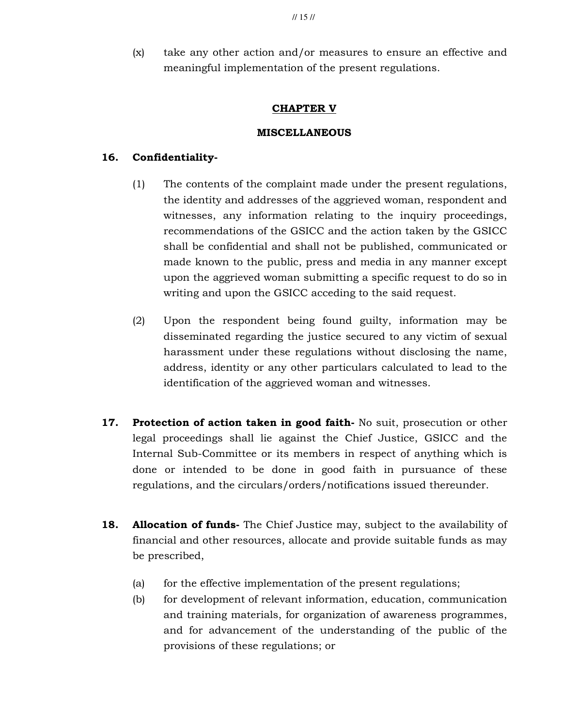(x) take any other action and/or measures to ensure an effective and meaningful implementation of the present regulations.

### CHAPTER V

### MISCELLANEOUS

### 16. Confidentiality-

- (1) The contents of the complaint made under the present regulations, the identity and addresses of the aggrieved woman, respondent and witnesses, any information relating to the inquiry proceedings, recommendations of the GSICC and the action taken by the GSICC shall be confidential and shall not be published, communicated or made known to the public, press and media in any manner except upon the aggrieved woman submitting a specific request to do so in writing and upon the GSICC acceding to the said request.
- (2) Upon the respondent being found guilty, information may be disseminated regarding the justice secured to any victim of sexual harassment under these regulations without disclosing the name, address, identity or any other particulars calculated to lead to the identification of the aggrieved woman and witnesses.
- 17. Protection of action taken in good faith- No suit, prosecution or other legal proceedings shall lie against the Chief Justice, GSICC and the Internal Sub-Committee or its members in respect of anything which is done or intended to be done in good faith in pursuance of these regulations, and the circulars/orders/notifications issued thereunder.
- 18. Allocation of funds- The Chief Justice may, subject to the availability of financial and other resources, allocate and provide suitable funds as may be prescribed,
	- (a) for the effective implementation of the present regulations;
	- (b) for development of relevant information, education, communication and training materials, for organization of awareness programmes, and for advancement of the understanding of the public of the provisions of these regulations; or